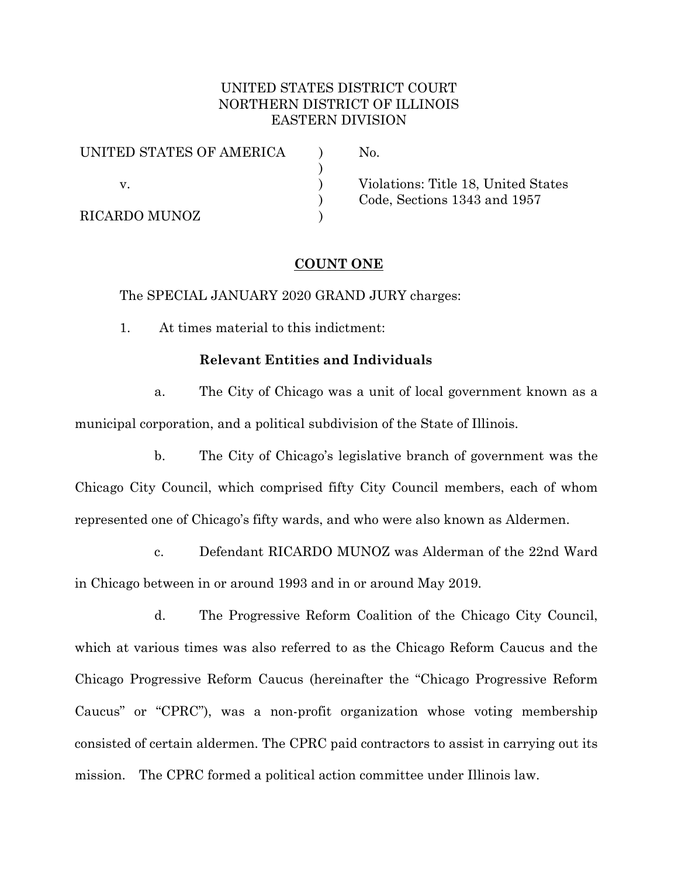## UNITED STATES DISTRICT COURT NORTHERN DISTRICT OF ILLINOIS EASTERN DIVISION

| UNITED STATES OF AMERICA | No.        |
|--------------------------|------------|
|                          |            |
|                          | Violations |
|                          | Code, Sec  |
| <b>RICARDO MUNOZ</b>     |            |

s: Title 18. United States  $tions$  1343 and 1957

# **COUNT ONE**

The SPECIAL JANUARY 2020 GRAND JURY charges:

1. At times material to this indictment:

## **Relevant Entities and Individuals**

a. The City of Chicago was a unit of local government known as a municipal corporation, and a political subdivision of the State of Illinois.

b. The City of Chicago's legislative branch of government was the Chicago City Council, which comprised fifty City Council members, each of whom represented one of Chicago's fifty wards, and who were also known as Aldermen.

c. Defendant RICARDO MUNOZ was Alderman of the 22nd Ward in Chicago between in or around 1993 and in or around May 2019.

d. The Progressive Reform Coalition of the Chicago City Council, which at various times was also referred to as the Chicago Reform Caucus and the Chicago Progressive Reform Caucus (hereinafter the "Chicago Progressive Reform Caucus" or "CPRC"), was a non-profit organization whose voting membership consisted of certain aldermen. The CPRC paid contractors to assist in carrying out its mission. The CPRC formed a political action committee under Illinois law.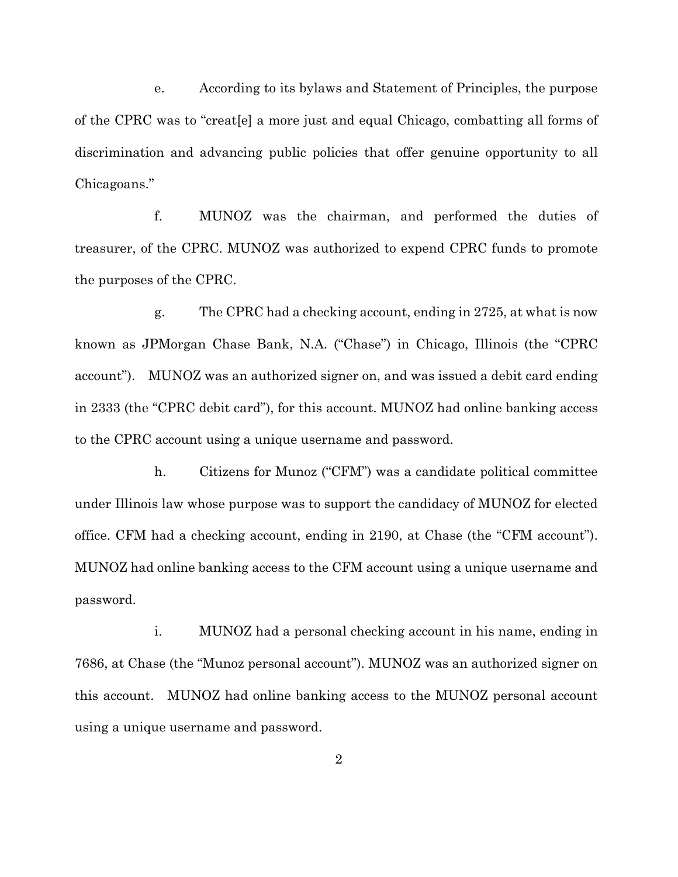e. According to its bylaws and Statement of Principles, the purpose of the CPRC was to "creat[e] a more just and equal Chicago, combatting all forms of discrimination and advancing public policies that offer genuine opportunity to all Chicagoans."

f. MUNOZ was the chairman, and performed the duties of treasurer, of the CPRC. MUNOZ was authorized to expend CPRC funds to promote the purposes of the CPRC.

g. The CPRC had a checking account, ending in 2725, at what is now known as JPMorgan Chase Bank, N.A. ("Chase") in Chicago, Illinois (the "CPRC account"). MUNOZ was an authorized signer on, and was issued a debit card ending in 2333 (the "CPRC debit card"), for this account. MUNOZ had online banking access to the CPRC account using a unique username and password.

h. Citizens for Munoz ("CFM") was a candidate political committee under Illinois law whose purpose was to support the candidacy of MUNOZ for elected office. CFM had a checking account, ending in 2190, at Chase (the "CFM account"). MUNOZ had online banking access to the CFM account using a unique username and password.

i. MUNOZ had a personal checking account in his name, ending in 7686, at Chase (the "Munoz personal account"). MUNOZ was an authorized signer on this account. MUNOZ had online banking access to the MUNOZ personal account using a unique username and password.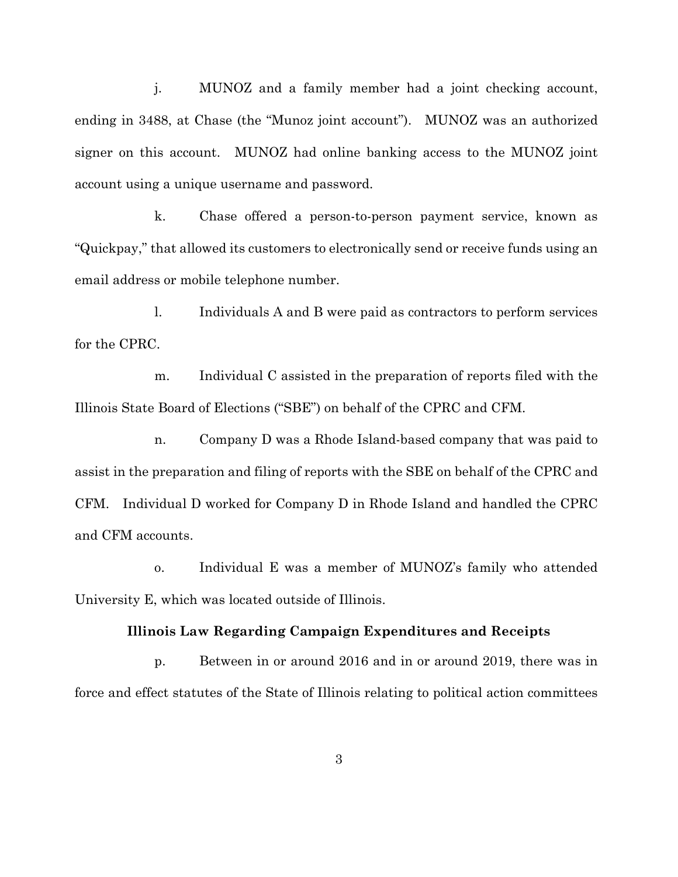j. MUNOZ and a family member had a joint checking account, ending in 3488, at Chase (the "Munoz joint account"). MUNOZ was an authorized signer on this account. MUNOZ had online banking access to the MUNOZ joint account using a unique username and password.

k. Chase offered a person-to-person payment service, known as "Quickpay," that allowed its customers to electronically send or receive funds using an email address or mobile telephone number.

l. Individuals A and B were paid as contractors to perform services for the CPRC.

m. Individual C assisted in the preparation of reports filed with the Illinois State Board of Elections ("SBE") on behalf of the CPRC and CFM.

n. Company D was a Rhode Island-based company that was paid to assist in the preparation and filing of reports with the SBE on behalf of the CPRC and CFM. Individual D worked for Company D in Rhode Island and handled the CPRC and CFM accounts.

o. Individual E was a member of MUNOZ's family who attended University E, which was located outside of Illinois.

## **Illinois Law Regarding Campaign Expenditures and Receipts**

p. Between in or around 2016 and in or around 2019, there was in force and effect statutes of the State of Illinois relating to political action committees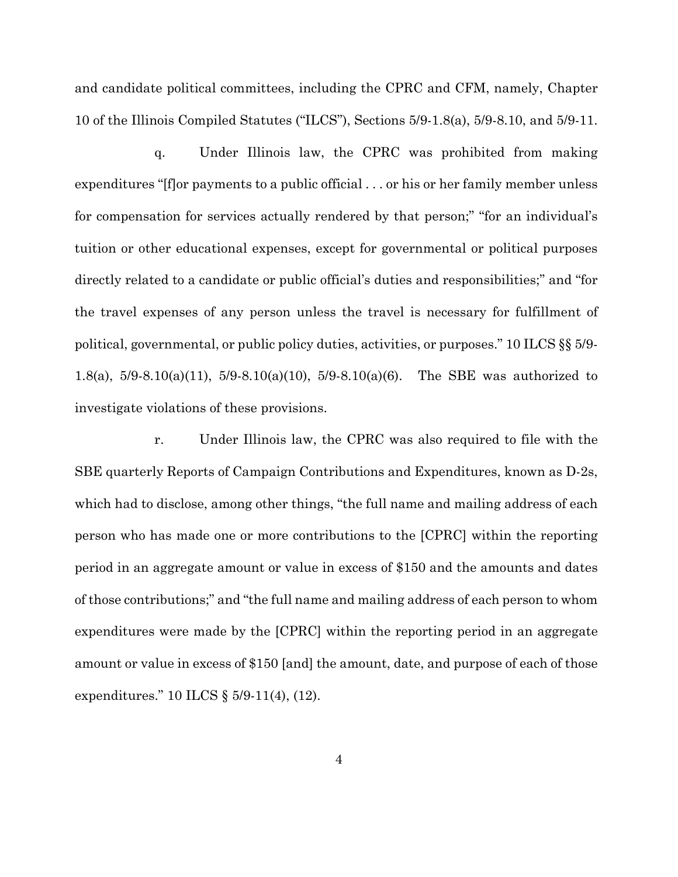and candidate political committees, including the CPRC and CFM, namely, Chapter 10 of the Illinois Compiled Statutes ("ILCS"), Sections 5/9-1.8(a), 5/9-8.10, and 5/9-11.

q. Under Illinois law, the CPRC was prohibited from making expenditures "[f]or payments to a public official . . . or his or her family member unless for compensation for services actually rendered by that person;" "for an individual's tuition or other educational expenses, except for governmental or political purposes directly related to a candidate or public official's duties and responsibilities;" and "for the travel expenses of any person unless the travel is necessary for fulfillment of political, governmental, or public policy duties, activities, or purposes." 10 ILCS §§ 5/9- 1.8(a), 5/9-8.10(a)(11), 5/9-8.10(a)(10), 5/9-8.10(a)(6). The SBE was authorized to investigate violations of these provisions.

r. Under Illinois law, the CPRC was also required to file with the SBE quarterly Reports of Campaign Contributions and Expenditures, known as D-2s, which had to disclose, among other things, "the full name and mailing address of each person who has made one or more contributions to the [CPRC] within the reporting period in an aggregate amount or value in excess of \$150 and the amounts and dates of those contributions;" and "the full name and mailing address of each person to whom expenditures were made by the [CPRC] within the reporting period in an aggregate amount or value in excess of \$150 [and] the amount, date, and purpose of each of those expenditures." 10 ILCS § 5/9-11(4), (12).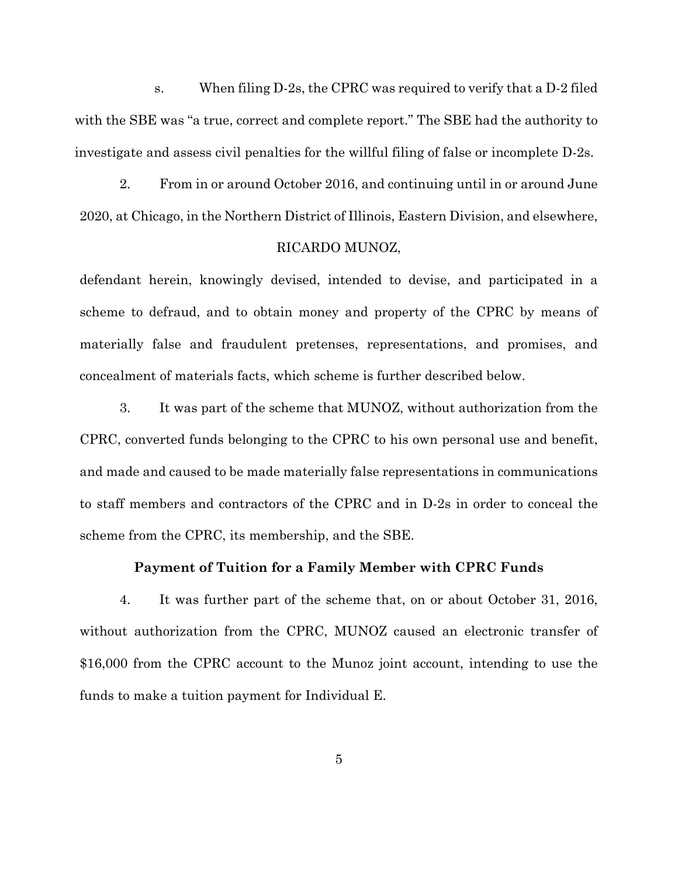s. When filing D-2s, the CPRC was required to verify that a D-2 filed with the SBE was "a true, correct and complete report." The SBE had the authority to investigate and assess civil penalties for the willful filing of false or incomplete D-2s.

2. From in or around October 2016, and continuing until in or around June 2020, at Chicago, in the Northern District of Illinois, Eastern Division, and elsewhere,

#### RICARDO MUNOZ,

defendant herein, knowingly devised, intended to devise, and participated in a scheme to defraud, and to obtain money and property of the CPRC by means of materially false and fraudulent pretenses, representations, and promises, and concealment of materials facts, which scheme is further described below.

3. It was part of the scheme that MUNOZ, without authorization from the CPRC, converted funds belonging to the CPRC to his own personal use and benefit, and made and caused to be made materially false representations in communications to staff members and contractors of the CPRC and in D-2s in order to conceal the scheme from the CPRC, its membership, and the SBE.

## **Payment of Tuition for a Family Member with CPRC Funds**

4. It was further part of the scheme that, on or about October 31, 2016, without authorization from the CPRC, MUNOZ caused an electronic transfer of \$16,000 from the CPRC account to the Munoz joint account, intending to use the funds to make a tuition payment for Individual E.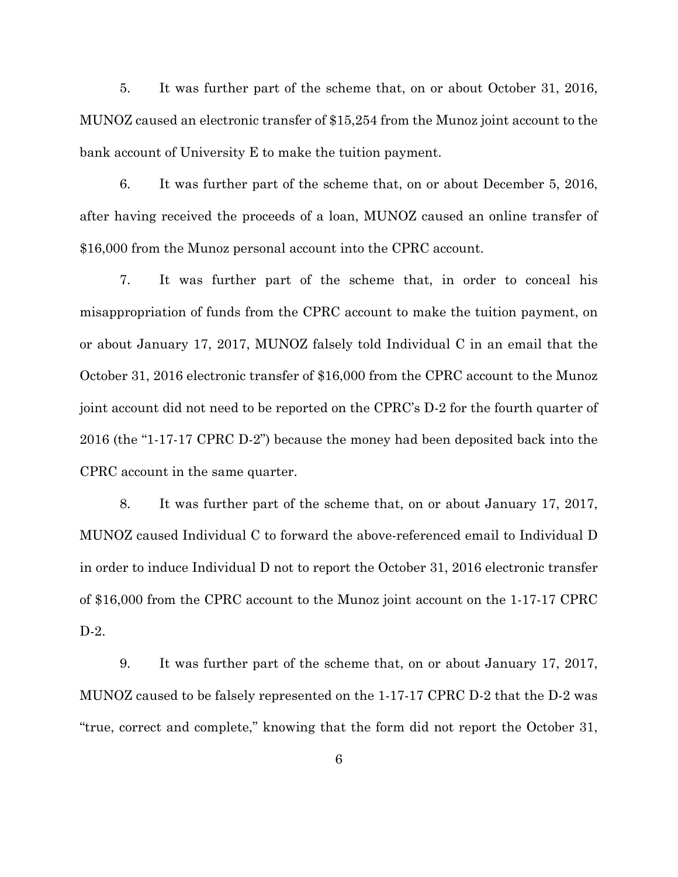5. It was further part of the scheme that, on or about October 31, 2016, MUNOZ caused an electronic transfer of \$15,254 from the Munoz joint account to the bank account of University E to make the tuition payment.

6. It was further part of the scheme that, on or about December 5, 2016, after having received the proceeds of a loan, MUNOZ caused an online transfer of \$16,000 from the Munoz personal account into the CPRC account.

7. It was further part of the scheme that, in order to conceal his misappropriation of funds from the CPRC account to make the tuition payment, on or about January 17, 2017, MUNOZ falsely told Individual C in an email that the October 31, 2016 electronic transfer of \$16,000 from the CPRC account to the Munoz joint account did not need to be reported on the CPRC's D-2 for the fourth quarter of 2016 (the "1-17-17 CPRC D-2") because the money had been deposited back into the CPRC account in the same quarter.

8. It was further part of the scheme that, on or about January 17, 2017, MUNOZ caused Individual C to forward the above-referenced email to Individual D in order to induce Individual D not to report the October 31, 2016 electronic transfer of \$16,000 from the CPRC account to the Munoz joint account on the 1-17-17 CPRC D-2.

9. It was further part of the scheme that, on or about January 17, 2017, MUNOZ caused to be falsely represented on the 1-17-17 CPRC D-2 that the D-2 was "true, correct and complete," knowing that the form did not report the October 31,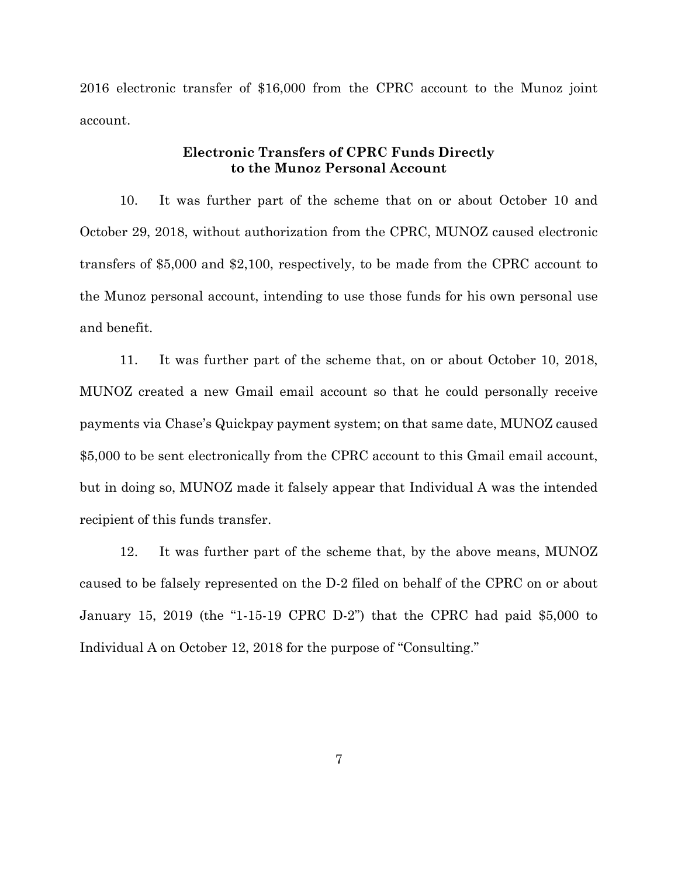2016 electronic transfer of \$16,000 from the CPRC account to the Munoz joint account.

## **Electronic Transfers of CPRC Funds Directly to the Munoz Personal Account**

10. It was further part of the scheme that on or about October 10 and October 29, 2018, without authorization from the CPRC, MUNOZ caused electronic transfers of \$5,000 and \$2,100, respectively, to be made from the CPRC account to the Munoz personal account, intending to use those funds for his own personal use and benefit.

11. It was further part of the scheme that, on or about October 10, 2018, MUNOZ created a new Gmail email account so that he could personally receive payments via Chase's Quickpay payment system; on that same date, MUNOZ caused \$5,000 to be sent electronically from the CPRC account to this Gmail email account, but in doing so, MUNOZ made it falsely appear that Individual A was the intended recipient of this funds transfer.

12. It was further part of the scheme that, by the above means, MUNOZ caused to be falsely represented on the D-2 filed on behalf of the CPRC on or about January 15, 2019 (the "1-15-19 CPRC D-2") that the CPRC had paid \$5,000 to Individual A on October 12, 2018 for the purpose of "Consulting."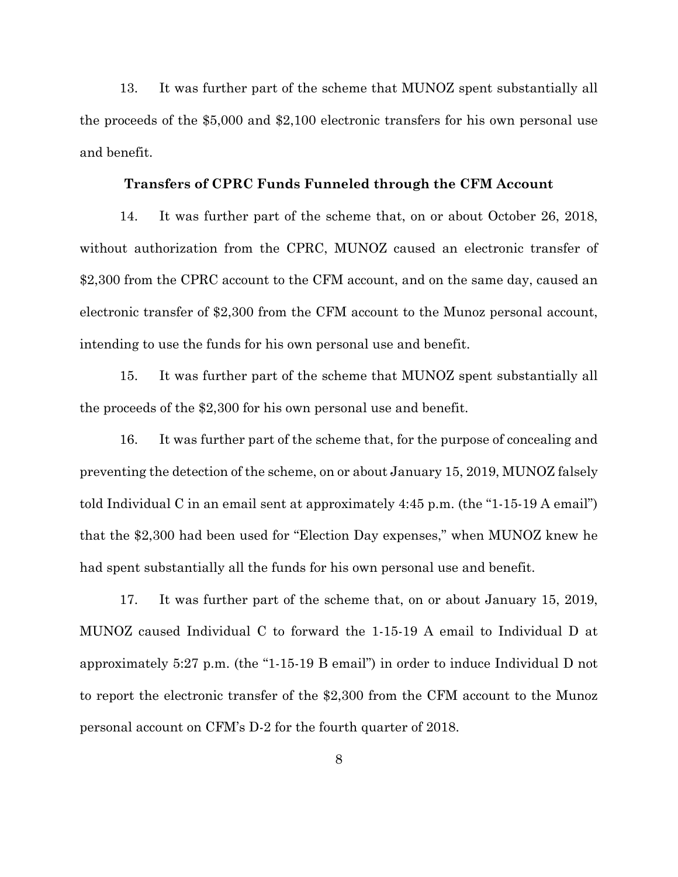13. It was further part of the scheme that MUNOZ spent substantially all the proceeds of the \$5,000 and \$2,100 electronic transfers for his own personal use and benefit.

#### **Transfers of CPRC Funds Funneled through the CFM Account**

14. It was further part of the scheme that, on or about October 26, 2018, without authorization from the CPRC, MUNOZ caused an electronic transfer of \$2,300 from the CPRC account to the CFM account, and on the same day, caused an electronic transfer of \$2,300 from the CFM account to the Munoz personal account, intending to use the funds for his own personal use and benefit.

15. It was further part of the scheme that MUNOZ spent substantially all the proceeds of the \$2,300 for his own personal use and benefit.

16. It was further part of the scheme that, for the purpose of concealing and preventing the detection of the scheme, on or about January 15, 2019, MUNOZ falsely told Individual C in an email sent at approximately 4:45 p.m. (the "1-15-19 A email") that the \$2,300 had been used for "Election Day expenses," when MUNOZ knew he had spent substantially all the funds for his own personal use and benefit.

17. It was further part of the scheme that, on or about January 15, 2019, MUNOZ caused Individual C to forward the 1-15-19 A email to Individual D at approximately 5:27 p.m. (the "1-15-19 B email") in order to induce Individual D not to report the electronic transfer of the \$2,300 from the CFM account to the Munoz personal account on CFM's D-2 for the fourth quarter of 2018.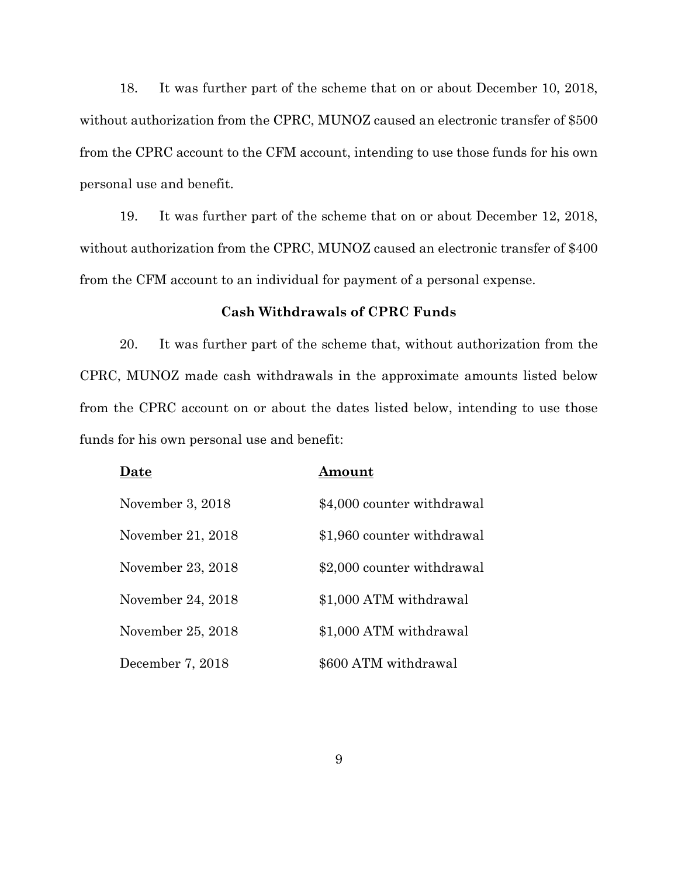18. It was further part of the scheme that on or about December 10, 2018, without authorization from the CPRC, MUNOZ caused an electronic transfer of \$500 from the CPRC account to the CFM account, intending to use those funds for his own personal use and benefit.

19. It was further part of the scheme that on or about December 12, 2018, without authorization from the CPRC, MUNOZ caused an electronic transfer of \$400 from the CFM account to an individual for payment of a personal expense.

## **Cash Withdrawals of CPRC Funds**

20. It was further part of the scheme that, without authorization from the CPRC, MUNOZ made cash withdrawals in the approximate amounts listed below from the CPRC account on or about the dates listed below, intending to use those funds for his own personal use and benefit:

| Date              | Amount                     |
|-------------------|----------------------------|
| November 3, 2018  | \$4,000 counter withdrawal |
| November 21, 2018 | \$1,960 counter withdrawal |
| November 23, 2018 | \$2,000 counter withdrawal |
| November 24, 2018 | \$1,000 ATM withdrawal     |
| November 25, 2018 | \$1,000 ATM withdrawal     |
| December 7, 2018  | \$600 ATM withdrawal       |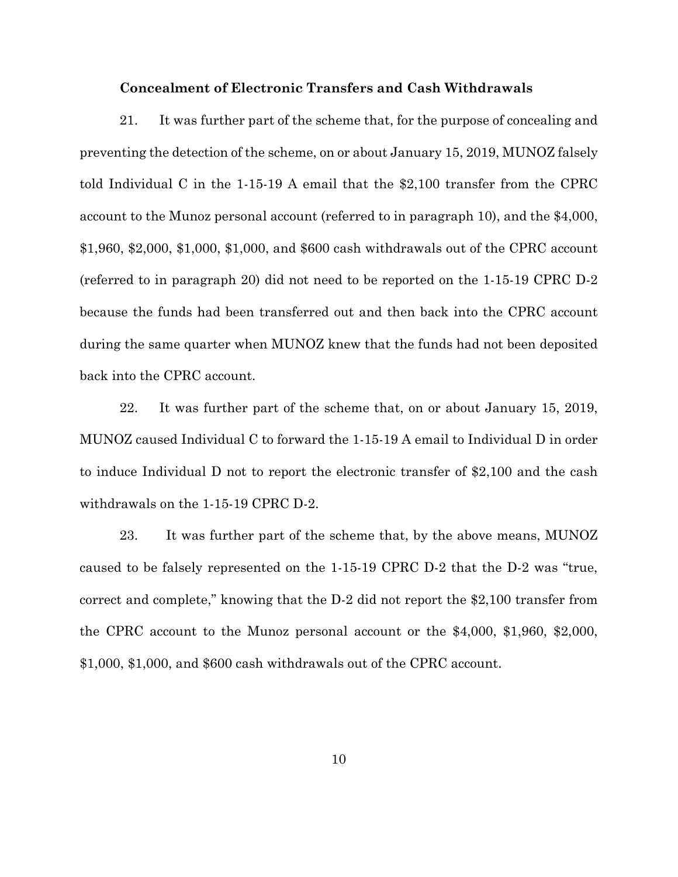#### **Concealment of Electronic Transfers and Cash Withdrawals**

21. It was further part of the scheme that, for the purpose of concealing and preventing the detection of the scheme, on or about January 15, 2019, MUNOZ falsely told Individual C in the 1-15-19 A email that the \$2,100 transfer from the CPRC account to the Munoz personal account (referred to in paragraph 10), and the \$4,000, \$1,960, \$2,000, \$1,000, \$1,000, and \$600 cash withdrawals out of the CPRC account (referred to in paragraph 20) did not need to be reported on the 1-15-19 CPRC D-2 because the funds had been transferred out and then back into the CPRC account during the same quarter when MUNOZ knew that the funds had not been deposited back into the CPRC account.

22. It was further part of the scheme that, on or about January 15, 2019, MUNOZ caused Individual C to forward the 1-15-19 A email to Individual D in order to induce Individual D not to report the electronic transfer of \$2,100 and the cash withdrawals on the 1-15-19 CPRC D-2.

23. It was further part of the scheme that, by the above means, MUNOZ caused to be falsely represented on the 1-15-19 CPRC D-2 that the D-2 was "true, correct and complete," knowing that the D-2 did not report the \$2,100 transfer from the CPRC account to the Munoz personal account or the \$4,000, \$1,960, \$2,000, \$1,000, \$1,000, and \$600 cash withdrawals out of the CPRC account.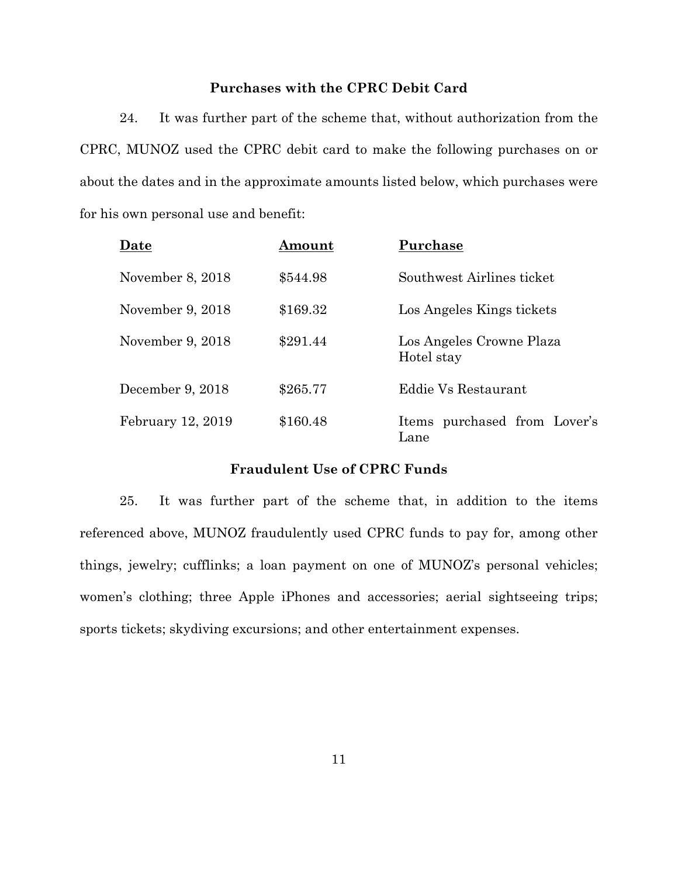# **Purchases with the CPRC Debit Card**

24. It was further part of the scheme that, without authorization from the CPRC, MUNOZ used the CPRC debit card to make the following purchases on or about the dates and in the approximate amounts listed below, which purchases were for his own personal use and benefit:

| Date              | Amount   | Purchase                               |
|-------------------|----------|----------------------------------------|
| November 8, 2018  | \$544.98 | Southwest Airlines ticket              |
| November 9, 2018  | \$169.32 | Los Angeles Kings tickets              |
| November 9, 2018  | \$291.44 | Los Angeles Crowne Plaza<br>Hotel stay |
| December 9, 2018  | \$265.77 | Eddie Vs Restaurant                    |
| February 12, 2019 | \$160.48 | Items purchased from Lover's<br>Lane   |

## **Fraudulent Use of CPRC Funds**

25. It was further part of the scheme that, in addition to the items referenced above, MUNOZ fraudulently used CPRC funds to pay for, among other things, jewelry; cufflinks; a loan payment on one of MUNOZ's personal vehicles; women's clothing; three Apple iPhones and accessories; aerial sightseeing trips; sports tickets; skydiving excursions; and other entertainment expenses.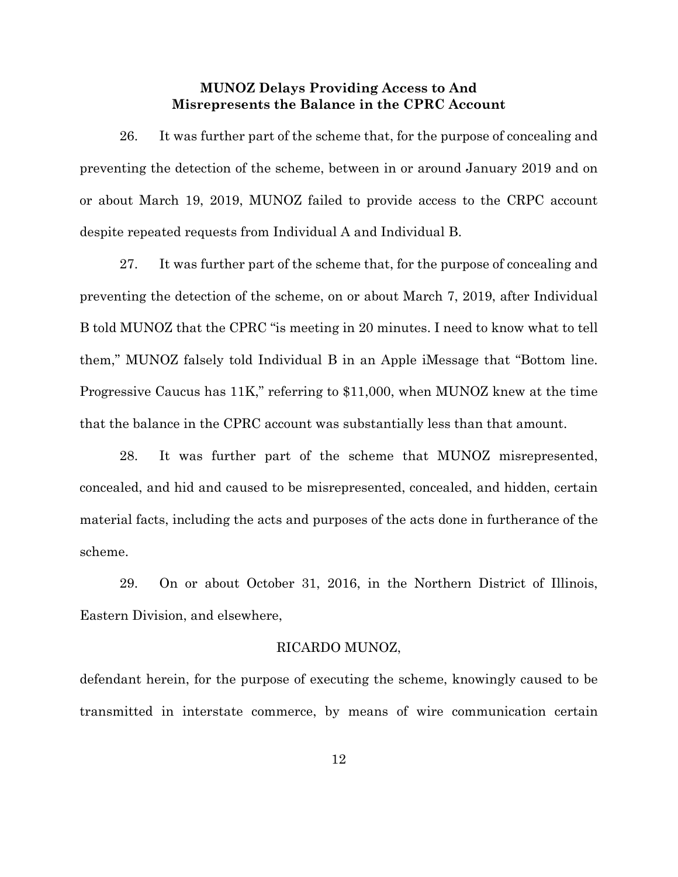## **MUNOZ Delays Providing Access to And Misrepresents the Balance in the CPRC Account**

26. It was further part of the scheme that, for the purpose of concealing and preventing the detection of the scheme, between in or around January 2019 and on or about March 19, 2019, MUNOZ failed to provide access to the CRPC account despite repeated requests from Individual A and Individual B.

27. It was further part of the scheme that, for the purpose of concealing and preventing the detection of the scheme, on or about March 7, 2019, after Individual B told MUNOZ that the CPRC "is meeting in 20 minutes. I need to know what to tell them," MUNOZ falsely told Individual B in an Apple iMessage that "Bottom line. Progressive Caucus has 11K," referring to \$11,000, when MUNOZ knew at the time that the balance in the CPRC account was substantially less than that amount.

28. It was further part of the scheme that MUNOZ misrepresented, concealed, and hid and caused to be misrepresented, concealed, and hidden, certain material facts, including the acts and purposes of the acts done in furtherance of the scheme.

29. On or about October 31, 2016, in the Northern District of Illinois, Eastern Division, and elsewhere,

## RICARDO MUNOZ,

defendant herein, for the purpose of executing the scheme, knowingly caused to be transmitted in interstate commerce, by means of wire communication certain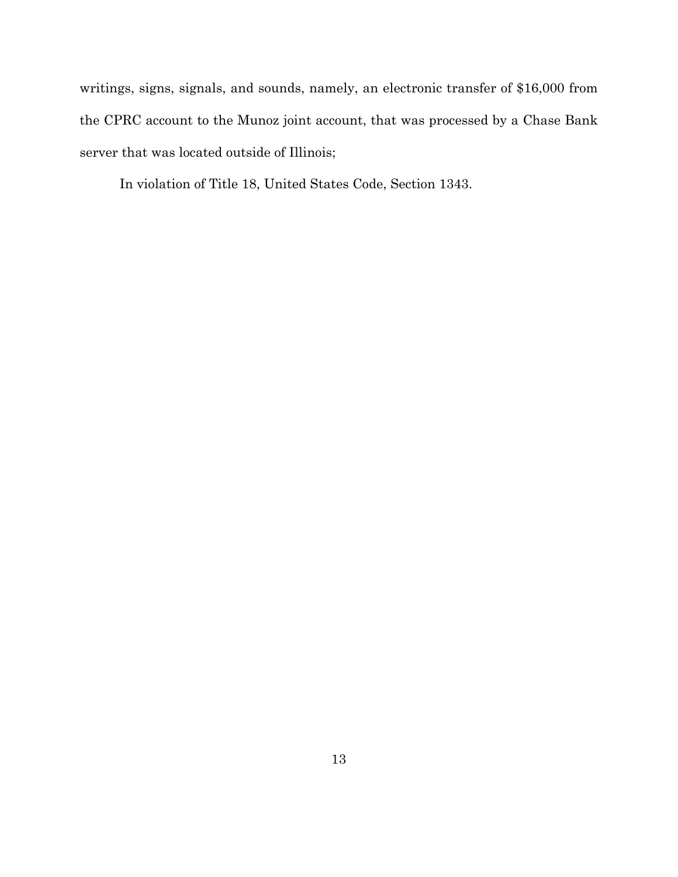writings, signs, signals, and sounds, namely, an electronic transfer of \$16,000 from the CPRC account to the Munoz joint account, that was processed by a Chase Bank server that was located outside of Illinois;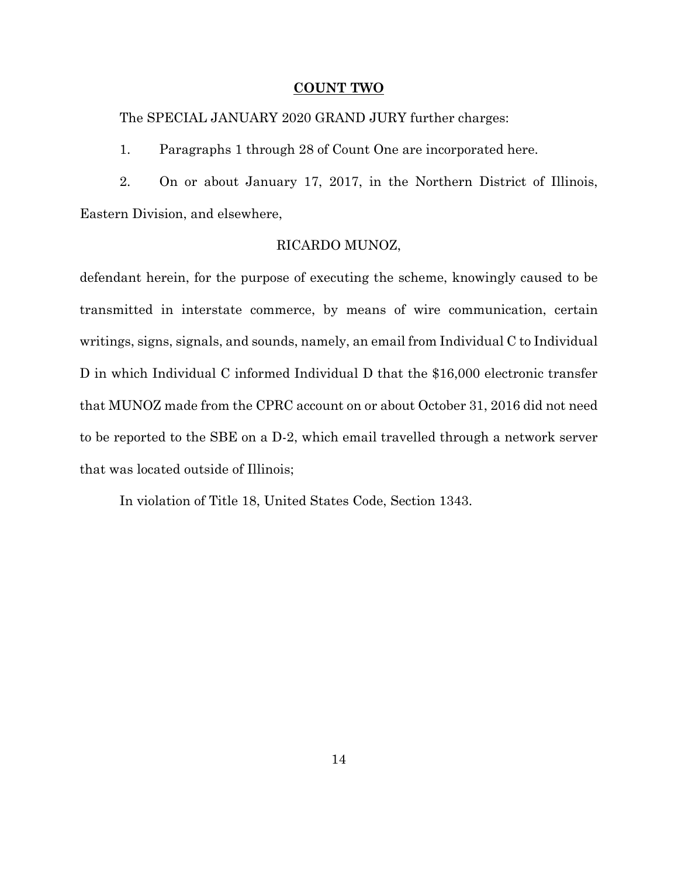#### **COUNT TWO**

The SPECIAL JANUARY 2020 GRAND JURY further charges:

1. Paragraphs 1 through 28 of Count One are incorporated here.

2. On or about January 17, 2017, in the Northern District of Illinois, Eastern Division, and elsewhere,

## RICARDO MUNOZ,

defendant herein, for the purpose of executing the scheme, knowingly caused to be transmitted in interstate commerce, by means of wire communication, certain writings, signs, signals, and sounds, namely, an email from Individual C to Individual D in which Individual C informed Individual D that the \$16,000 electronic transfer that MUNOZ made from the CPRC account on or about October 31, 2016 did not need to be reported to the SBE on a D-2, which email travelled through a network server that was located outside of Illinois;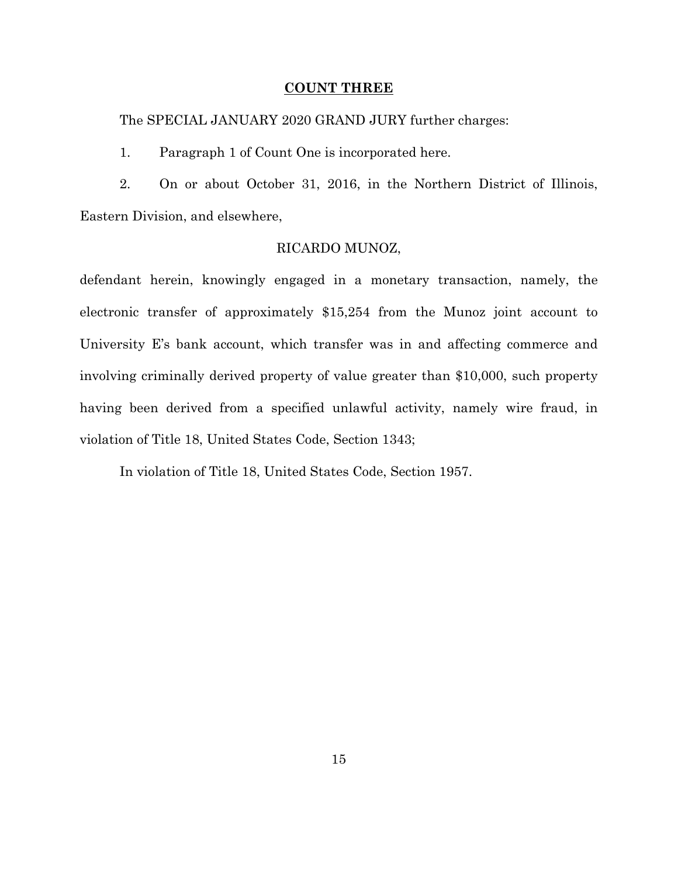#### **COUNT THREE**

The SPECIAL JANUARY 2020 GRAND JURY further charges:

1. Paragraph 1 of Count One is incorporated here.

2. On or about October 31, 2016, in the Northern District of Illinois, Eastern Division, and elsewhere,

## RICARDO MUNOZ,

defendant herein, knowingly engaged in a monetary transaction, namely, the electronic transfer of approximately \$15,254 from the Munoz joint account to University E's bank account, which transfer was in and affecting commerce and involving criminally derived property of value greater than \$10,000, such property having been derived from a specified unlawful activity, namely wire fraud, in violation of Title 18, United States Code, Section 1343;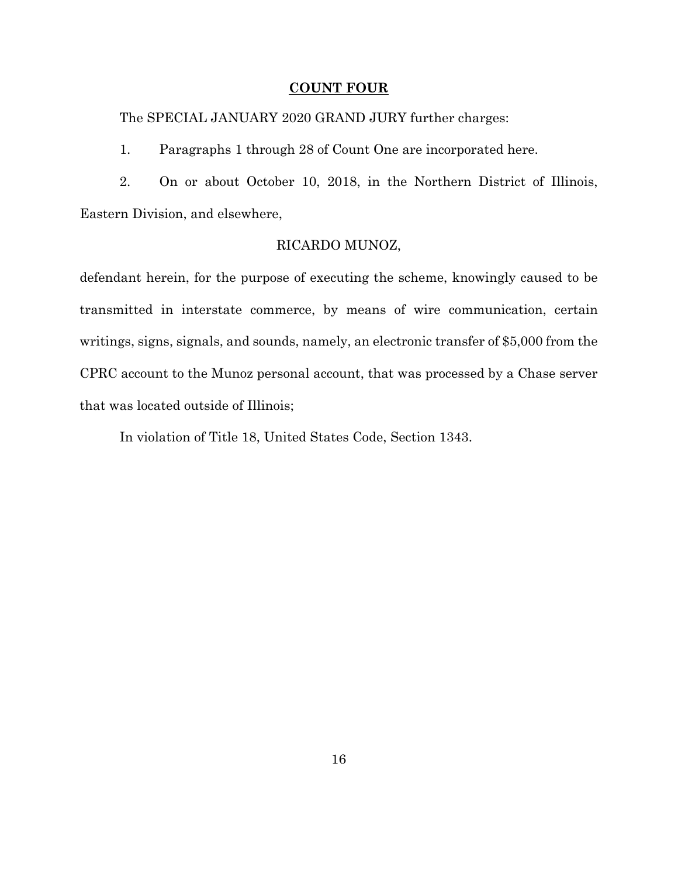### **COUNT FOUR**

The SPECIAL JANUARY 2020 GRAND JURY further charges:

1. Paragraphs 1 through 28 of Count One are incorporated here.

2. On or about October 10, 2018, in the Northern District of Illinois, Eastern Division, and elsewhere,

## RICARDO MUNOZ,

defendant herein, for the purpose of executing the scheme, knowingly caused to be transmitted in interstate commerce, by means of wire communication, certain writings, signs, signals, and sounds, namely, an electronic transfer of \$5,000 from the CPRC account to the Munoz personal account, that was processed by a Chase server that was located outside of Illinois;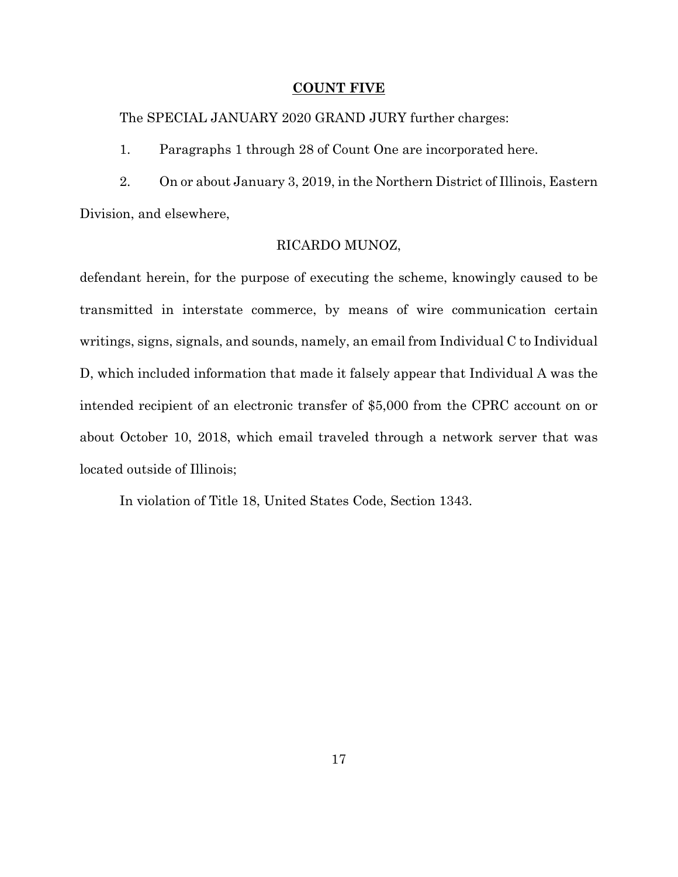#### **COUNT FIVE**

The SPECIAL JANUARY 2020 GRAND JURY further charges:

1. Paragraphs 1 through 28 of Count One are incorporated here.

2. On or about January 3, 2019, in the Northern District of Illinois, Eastern Division, and elsewhere,

## RICARDO MUNOZ,

defendant herein, for the purpose of executing the scheme, knowingly caused to be transmitted in interstate commerce, by means of wire communication certain writings, signs, signals, and sounds, namely, an email from Individual C to Individual D, which included information that made it falsely appear that Individual A was the intended recipient of an electronic transfer of \$5,000 from the CPRC account on or about October 10, 2018, which email traveled through a network server that was located outside of Illinois;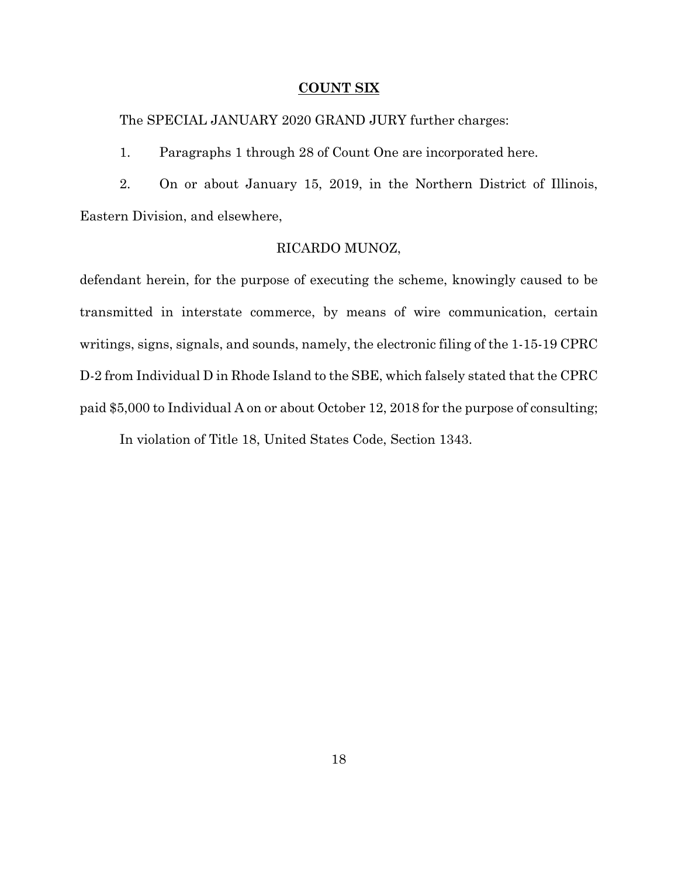#### **COUNT SIX**

The SPECIAL JANUARY 2020 GRAND JURY further charges:

1. Paragraphs 1 through 28 of Count One are incorporated here.

2. On or about January 15, 2019, in the Northern District of Illinois, Eastern Division, and elsewhere,

## RICARDO MUNOZ,

defendant herein, for the purpose of executing the scheme, knowingly caused to be transmitted in interstate commerce, by means of wire communication, certain writings, signs, signals, and sounds, namely, the electronic filing of the 1-15-19 CPRC D-2 from Individual D in Rhode Island to the SBE, which falsely stated that the CPRC paid \$5,000 to Individual A on or about October 12, 2018 for the purpose of consulting;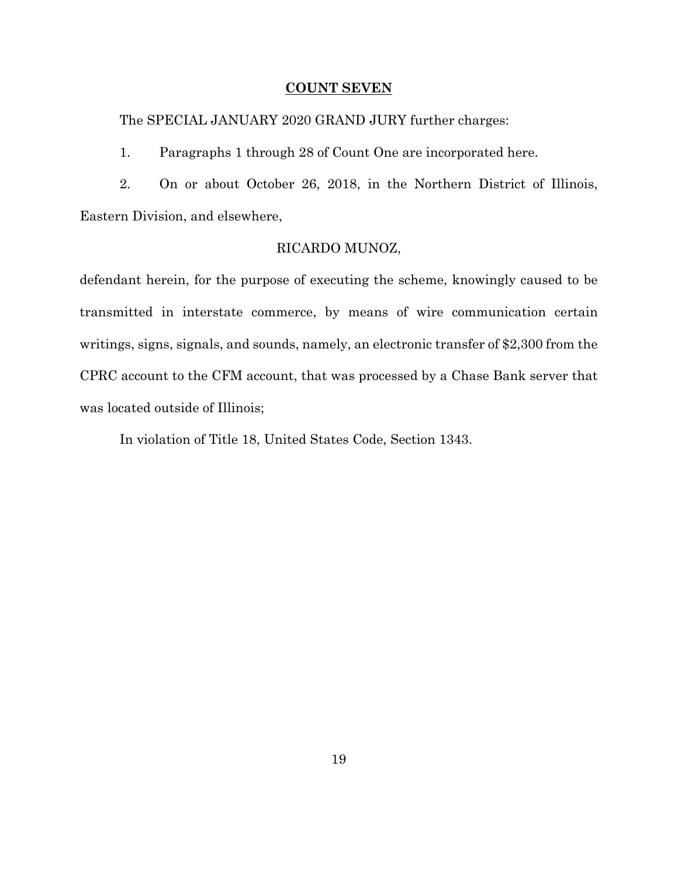### **COUNT SEVEN**

The SPECIAL JANUARY 2020 GRAND JURY further charges:

1. Paragraphs 1 through 28 of Count One are incorporated here.

2. On or about October 26, 2018, in the Northern District of Illinois, Eastern Division, and elsewhere,

## RICARDO MUNOZ,

defendant herein, for the purpose of executing the scheme, knowingly caused to be transmitted in interstate commerce, by means of wire communication certain writings, signs, signals, and sounds, namely, an electronic transfer of \$2,300 from the CPRC account to the CFM account, that was processed by a Chase Bank server that was located outside of Illinois;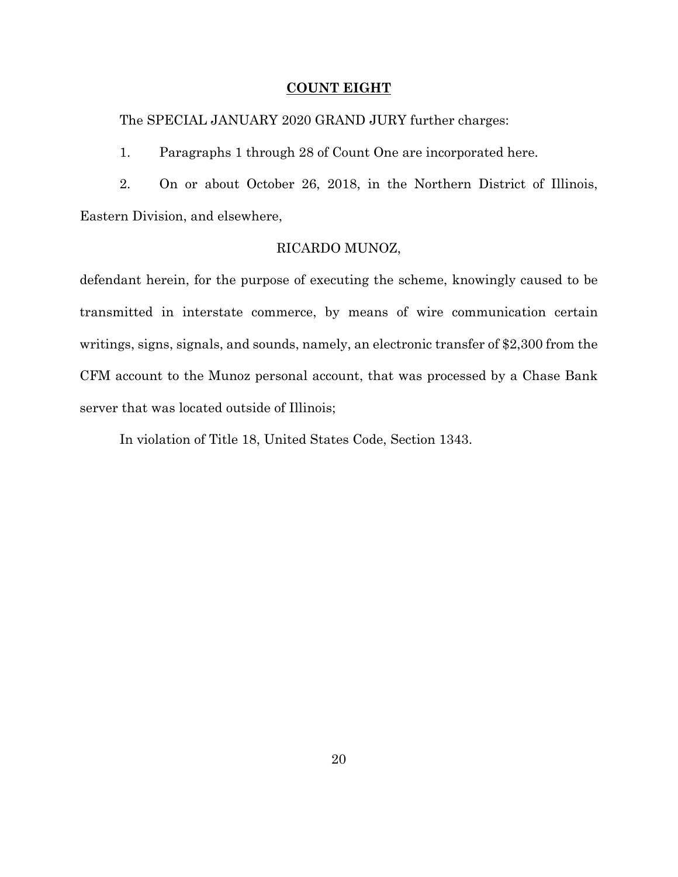### **COUNT EIGHT**

The SPECIAL JANUARY 2020 GRAND JURY further charges:

1. Paragraphs 1 through 28 of Count One are incorporated here.

2. On or about October 26, 2018, in the Northern District of Illinois, Eastern Division, and elsewhere,

## RICARDO MUNOZ,

defendant herein, for the purpose of executing the scheme, knowingly caused to be transmitted in interstate commerce, by means of wire communication certain writings, signs, signals, and sounds, namely, an electronic transfer of \$2,300 from the CFM account to the Munoz personal account, that was processed by a Chase Bank server that was located outside of Illinois;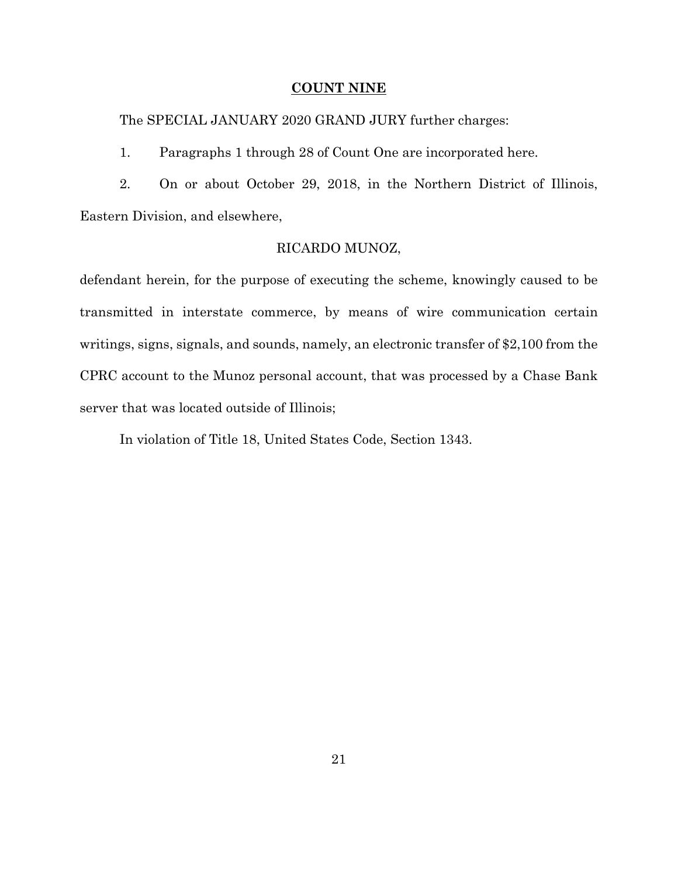#### **COUNT NINE**

The SPECIAL JANUARY 2020 GRAND JURY further charges:

1. Paragraphs 1 through 28 of Count One are incorporated here.

2. On or about October 29, 2018, in the Northern District of Illinois, Eastern Division, and elsewhere,

## RICARDO MUNOZ,

defendant herein, for the purpose of executing the scheme, knowingly caused to be transmitted in interstate commerce, by means of wire communication certain writings, signs, signals, and sounds, namely, an electronic transfer of \$2,100 from the CPRC account to the Munoz personal account, that was processed by a Chase Bank server that was located outside of Illinois;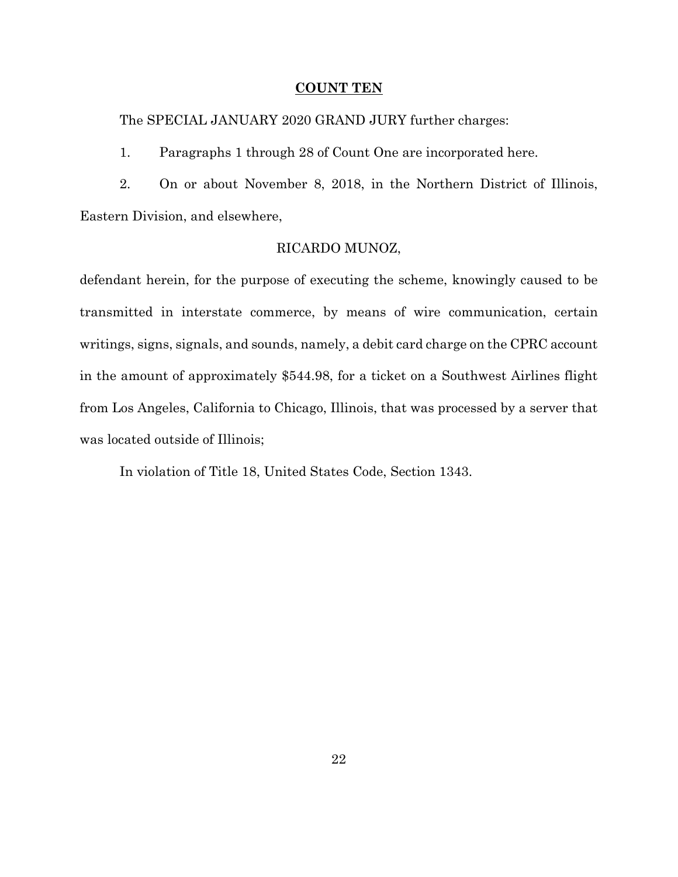#### **COUNT TEN**

The SPECIAL JANUARY 2020 GRAND JURY further charges:

1. Paragraphs 1 through 28 of Count One are incorporated here.

2. On or about November 8, 2018, in the Northern District of Illinois, Eastern Division, and elsewhere,

## RICARDO MUNOZ,

defendant herein, for the purpose of executing the scheme, knowingly caused to be transmitted in interstate commerce, by means of wire communication, certain writings, signs, signals, and sounds, namely, a debit card charge on the CPRC account in the amount of approximately \$544.98, for a ticket on a Southwest Airlines flight from Los Angeles, California to Chicago, Illinois, that was processed by a server that was located outside of Illinois;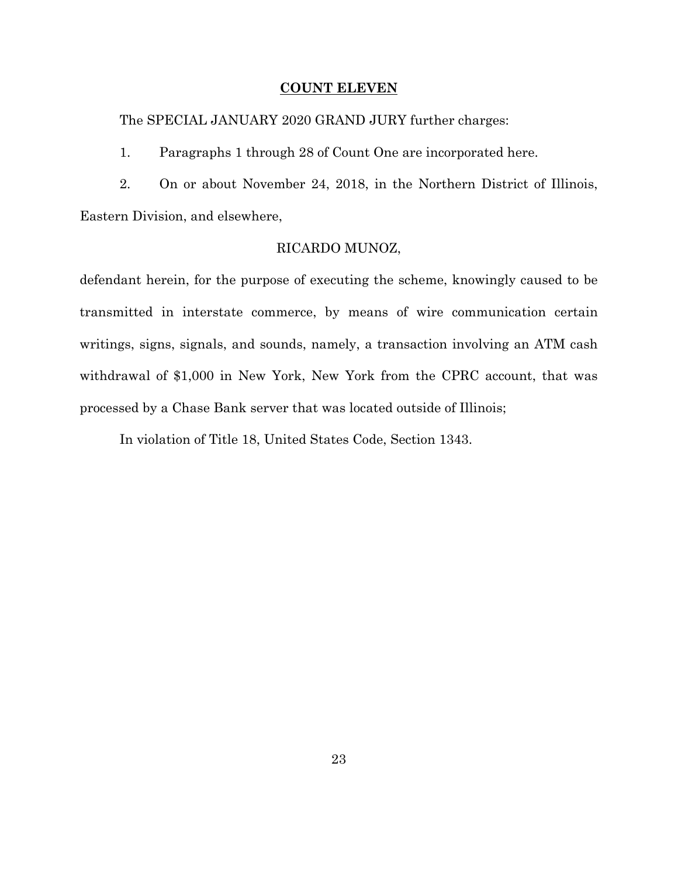#### **COUNT ELEVEN**

The SPECIAL JANUARY 2020 GRAND JURY further charges:

1. Paragraphs 1 through 28 of Count One are incorporated here.

2. On or about November 24, 2018, in the Northern District of Illinois, Eastern Division, and elsewhere,

## RICARDO MUNOZ,

defendant herein, for the purpose of executing the scheme, knowingly caused to be transmitted in interstate commerce, by means of wire communication certain writings, signs, signals, and sounds, namely, a transaction involving an ATM cash withdrawal of \$1,000 in New York, New York from the CPRC account, that was processed by a Chase Bank server that was located outside of Illinois;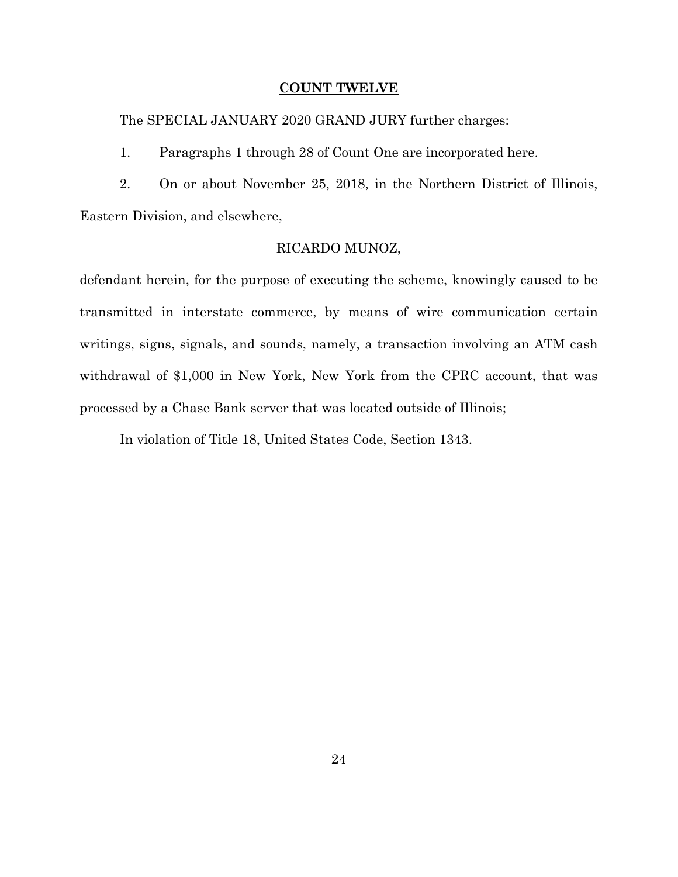#### **COUNT TWELVE**

The SPECIAL JANUARY 2020 GRAND JURY further charges:

1. Paragraphs 1 through 28 of Count One are incorporated here.

2. On or about November 25, 2018, in the Northern District of Illinois, Eastern Division, and elsewhere,

## RICARDO MUNOZ,

defendant herein, for the purpose of executing the scheme, knowingly caused to be transmitted in interstate commerce, by means of wire communication certain writings, signs, signals, and sounds, namely, a transaction involving an ATM cash withdrawal of \$1,000 in New York, New York from the CPRC account, that was processed by a Chase Bank server that was located outside of Illinois;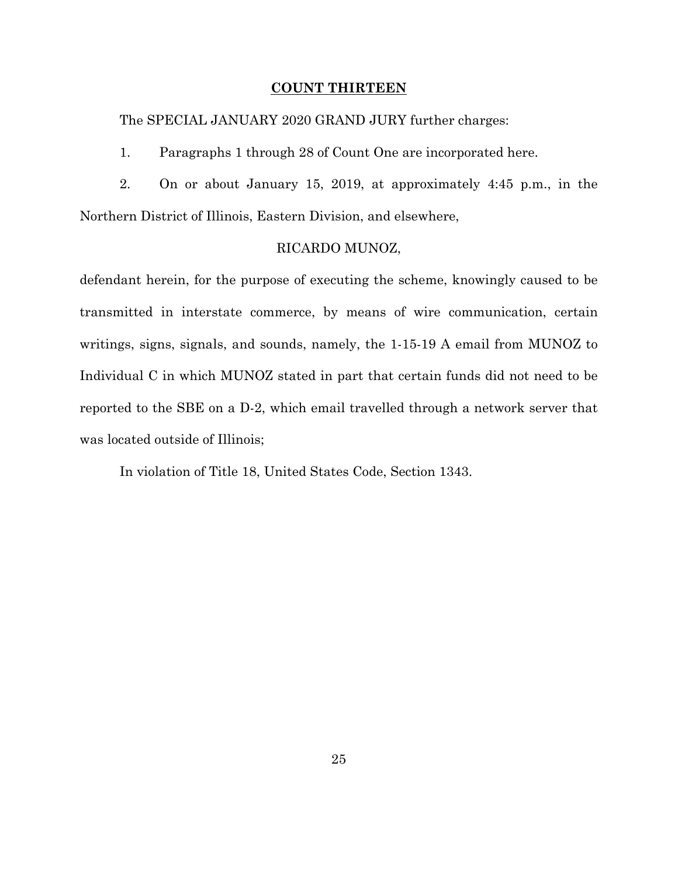#### **COUNT THIRTEEN**

The SPECIAL JANUARY 2020 GRAND JURY further charges:

1. Paragraphs 1 through 28 of Count One are incorporated here.

2. On or about January 15, 2019, at approximately 4:45 p.m., in the Northern District of Illinois, Eastern Division, and elsewhere,

### RICARDO MUNOZ,

defendant herein, for the purpose of executing the scheme, knowingly caused to be transmitted in interstate commerce, by means of wire communication, certain writings, signs, signals, and sounds, namely, the 1-15-19 A email from MUNOZ to Individual C in which MUNOZ stated in part that certain funds did not need to be reported to the SBE on a D-2, which email travelled through a network server that was located outside of Illinois;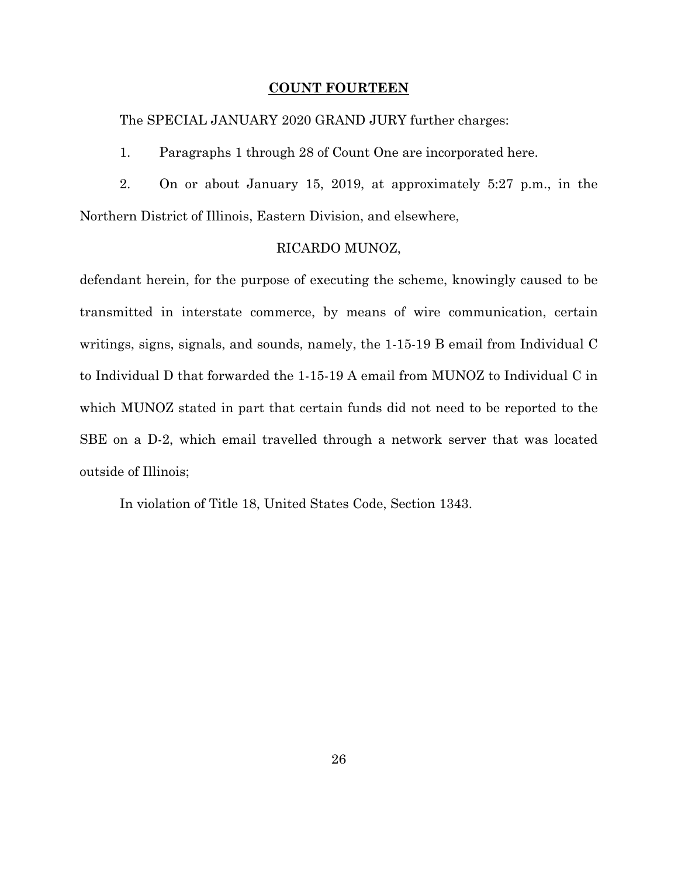#### **COUNT FOURTEEN**

The SPECIAL JANUARY 2020 GRAND JURY further charges:

1. Paragraphs 1 through 28 of Count One are incorporated here.

2. On or about January 15, 2019, at approximately 5:27 p.m., in the Northern District of Illinois, Eastern Division, and elsewhere,

#### RICARDO MUNOZ,

defendant herein, for the purpose of executing the scheme, knowingly caused to be transmitted in interstate commerce, by means of wire communication, certain writings, signs, signals, and sounds, namely, the 1-15-19 B email from Individual C to Individual D that forwarded the 1-15-19 A email from MUNOZ to Individual C in which MUNOZ stated in part that certain funds did not need to be reported to the SBE on a D-2, which email travelled through a network server that was located outside of Illinois;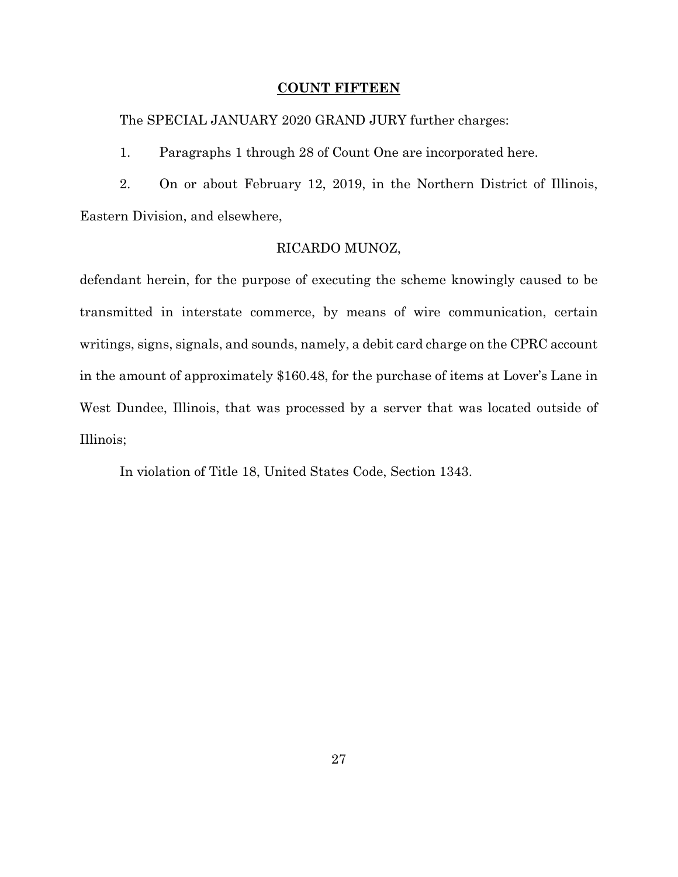### **COUNT FIFTEEN**

The SPECIAL JANUARY 2020 GRAND JURY further charges:

1. Paragraphs 1 through 28 of Count One are incorporated here.

2. On or about February 12, 2019, in the Northern District of Illinois, Eastern Division, and elsewhere,

## RICARDO MUNOZ,

defendant herein, for the purpose of executing the scheme knowingly caused to be transmitted in interstate commerce, by means of wire communication, certain writings, signs, signals, and sounds, namely, a debit card charge on the CPRC account in the amount of approximately \$160.48, for the purchase of items at Lover's Lane in West Dundee, Illinois, that was processed by a server that was located outside of Illinois;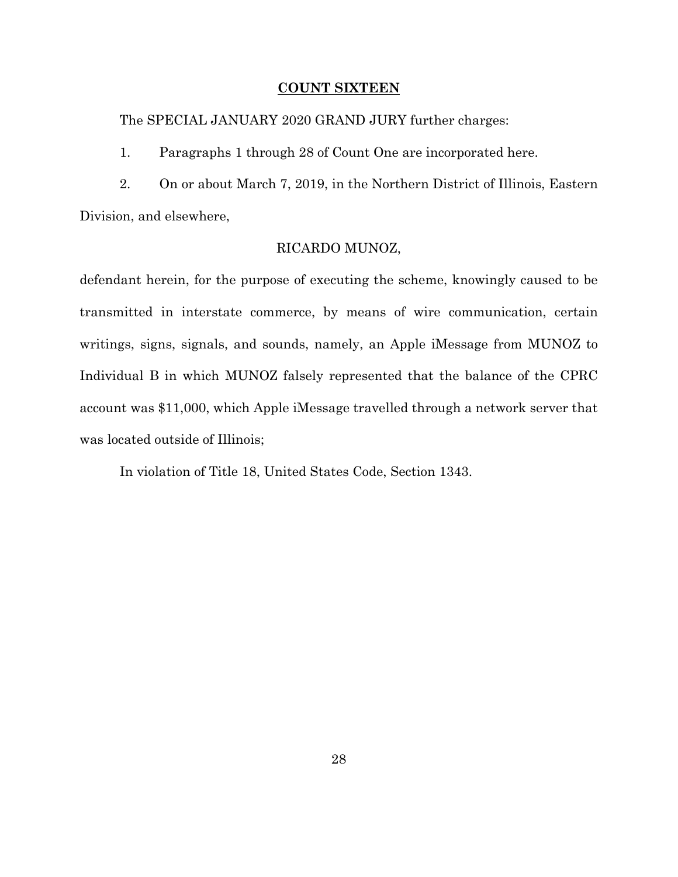#### **COUNT SIXTEEN**

The SPECIAL JANUARY 2020 GRAND JURY further charges:

1. Paragraphs 1 through 28 of Count One are incorporated here.

2. On or about March 7, 2019, in the Northern District of Illinois, Eastern Division, and elsewhere,

## RICARDO MUNOZ,

defendant herein, for the purpose of executing the scheme, knowingly caused to be transmitted in interstate commerce, by means of wire communication, certain writings, signs, signals, and sounds, namely, an Apple iMessage from MUNOZ to Individual B in which MUNOZ falsely represented that the balance of the CPRC account was \$11,000, which Apple iMessage travelled through a network server that was located outside of Illinois;